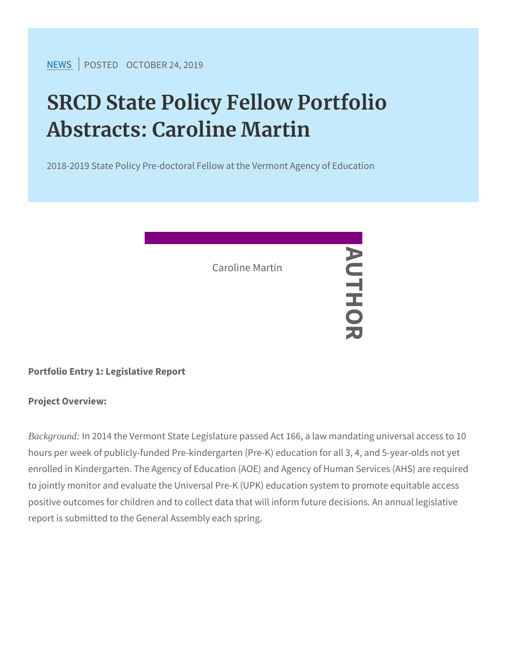[NEW](https://www.srcd.org/news)SPOSTEDCTOBER 24, 2019

# SRCD State Policy Fellow Portfo Abstracts: Caroline Martin

2018-2019 State Policy Pre-doctoral Fellow at the Vermont Agene

AUTHORAUTHO Caroline Martin

刀

Portfolio Entry 1: Legislative Report

Project Overview:

Background: In 2014 the Vermont State Legislature passed Act 166, a la hours per week of publicly-funded Pre-kindergarten (Pre-K) educati enrolled in Kindergarten. The Agency of Education (AOE) and Agene to jointly monitor and evaluate the Universal Pre-K (UPK) education positive outcomes for children and to collect data that will inform f report is submitted to the General Assembly each spring.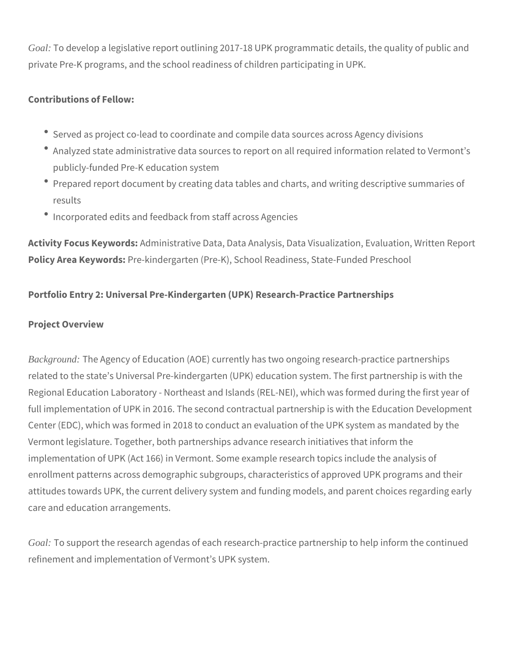*Goal:* To develop a legislative report outlining 2017-18 UPK programmatic details, the quality of public and private Pre-K programs, and the school readiness of children participating in UPK.

## **Contributions of Fellow:**

- Served as project co-lead to coordinate and compile data sources across Agency divisions
- Analyzed state administrative data sources to report on all required information related to Vermont's publicly-funded Pre-K education system
- Prepared report document by creating data tables and charts, and writing descriptive summaries of results
- Incorporated edits and feedback from staff across Agencies

**Activity Focus Keywords:** Administrative Data, Data Analysis, Data Visualization, Evaluation, Written Report **Policy Area Keywords:** Pre-kindergarten (Pre-K), School Readiness, State-Funded Preschool

# **Portfolio Entry 2: Universal Pre-Kindergarten (UPK) Research-Practice Partnerships**

#### **Project Overview**

*Background:* The Agency of Education (AOE) currently has two ongoing research-practice partnerships related to the state's Universal Pre-kindergarten (UPK) education system. The first partnership is with the Regional Education Laboratory - Northeast and Islands (REL-NEI), which was formed during the first year of full implementation of UPK in 2016. The second contractual partnership is with the Education Development Center (EDC), which was formed in 2018 to conduct an evaluation of the UPK system as mandated by the Vermont legislature. Together, both partnerships advance research initiatives that inform the implementation of UPK (Act 166) in Vermont. Some example research topics include the analysis of enrollment patterns across demographic subgroups, characteristics of approved UPK programs and their attitudes towards UPK, the current delivery system and funding models, and parent choices regarding early care and education arrangements.

*Goal:* To support the research agendas of each research-practice partnership to help inform the continued refinement and implementation of Vermont's UPK system.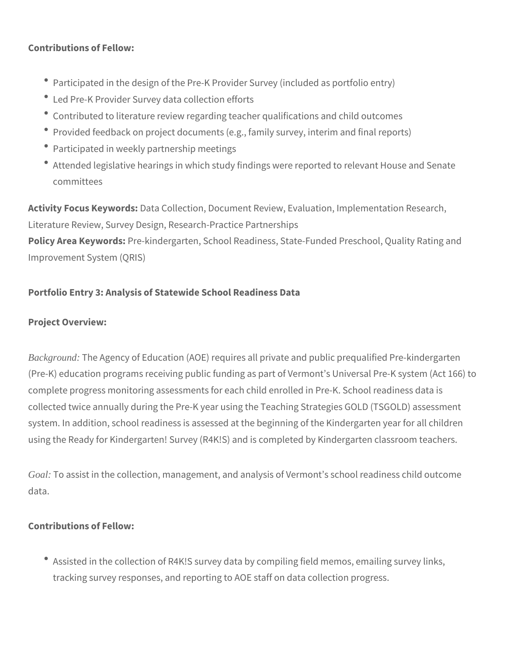## **Contributions of Fellow:**

- Participated in the design of the Pre-K Provider Survey (included as portfolio entry)
- Led Pre-K Provider Survey data collection efforts
- Contributed to literature review regarding teacher qualifications and child outcomes
- Provided feedback on project documents (e.g., family survey, interim and final reports)
- Participated in weekly partnership meetings
- Attended legislative hearings in which study findings were reported to relevant House and Senate committees

**Activity Focus Keywords:** Data Collection, Document Review, Evaluation, Implementation Research, Literature Review, Survey Design, Research-Practice Partnerships **Policy Area Keywords:** Pre-kindergarten, School Readiness, State-Funded Preschool, Quality Rating and

Improvement System (QRIS)

## **Portfolio Entry 3: Analysis of Statewide School Readiness Data**

#### **Project Overview:**

*Background:* The Agency of Education (AOE) requires all private and public prequalified Pre-kindergarten (Pre-K) education programs receiving public funding as part of Vermont's Universal Pre-K system (Act 166) to complete progress monitoring assessments for each child enrolled in Pre-K. School readiness data is collected twice annually during the Pre-K year using the Teaching Strategies GOLD (TSGOLD) assessment system. In addition, school readiness is assessed at the beginning of the Kindergarten year for all children using the Ready for Kindergarten! Survey (R4K!S) and is completed by Kindergarten classroom teachers.

*Goal:* To assist in the collection, management, and analysis of Vermont's school readiness child outcome data.

#### **Contributions of Fellow:**

Assisted in the collection of R4K!S survey data by compiling field memos, emailing survey links, tracking survey responses, and reporting to AOE staff on data collection progress.